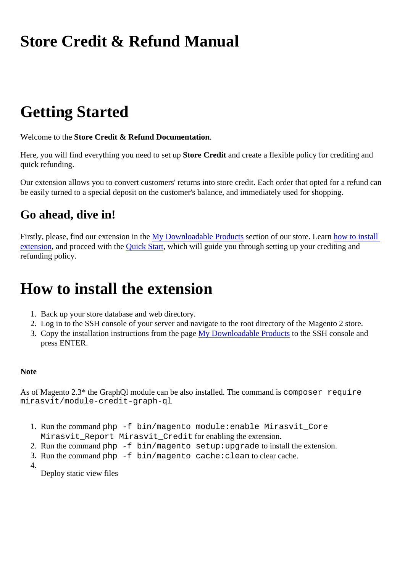## Store Credit & Refund Manual

## Getting Started

Welcome to the Store Credit & Refund Documentation.

Here, you will find everything you need to set Store Credit and create a flexible policy for crediting and quick refunding.

Our extension allows you to convert customers' returns into store credit. Each order that opted for a refund be easily turned to a special deposit on the customer's balance, and immediately used for shopping.

### Go ahead, dive in!

Firstly, please, find our extension in the Downloadable Products ection of our store. Learnow to install extension and proceed with the uick Start which will guide you through setting up your crediting and refunding policy.

## How to install the extension

- 1. Back up your store database and web directory.
- 2. Log in to the SSH console of your server and navigate to the root directory of the Magento 2 store.
- 3. Copy the installation instructions from the page Downloadable Products the SSH console and press ENTER.

#### **Note**

As of Magento 2.3<sup>\*</sup> the GraphQI module can be also installed. The command poser require mirasvit/module-credit-graph-ql

- 1. Run the command p -f bin/magento module: enable Mirasvit\_Core Mirasvit Report Mirasvit Credit for enabling the extension.
- 2. Run the command p -f bin/magento setup:upgrade to install the extension.
- 3. Run the command hp -f bin/magento cache: clean to clear cache.
- 4.

Deploy static view files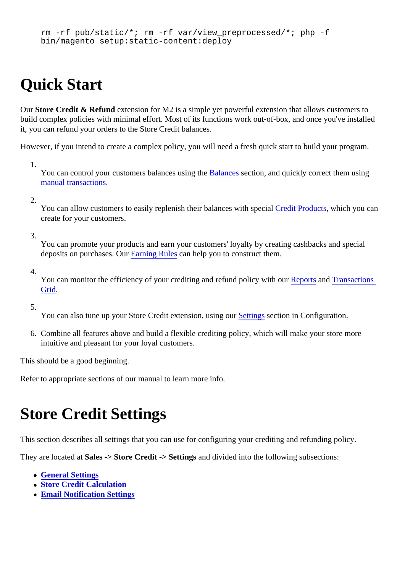## <span id="page-1-0"></span>Quick Start

Our Store Credit & Refund extension for M2 is a simple yet powerful extension that allows customers to build complex policies with minimal effort. Most of its functions work out-of-box, and once you've installed it, you can refund your orders to the Store Credit balances.

However, if you intend to create a complex policy, you will need a fresh quick start to build your program.

1.

You can control your customers balances usin**Bthencessection**, and quickly correct them using manual transactions.

2.

You can allow customers to easily replenish their balances with special Products which you can create for your customers.

3.

You can promote your products and earn your customers' loyalty by creating cashbacks and special depositson purchases. **CEarning Rules** can help you to construct them.

4.

You can monitor the efficiency of your crediting and refund policy with Reports an[d Transactions](#page-5-0) [Grid.](#page-5-0)

5.

You can also tune up your Store Credit extension, using ettings section in Configuration.

6. Combine all features above and build a flexible crediting policy, which will make your store more intuitive and pleasant for your loyal customers.

This should be a good beginning.

Refer to appropriate sections of our manual to learn more info.

## Store Credit Settings

This section describes all settings that you can use for configuring your crediting and refunding policy.

They are located **addles -> Store Credit -> Setting and divided into the following subsections:** 

- General Settings
- Store Credit Calculation
- Email Notification Settings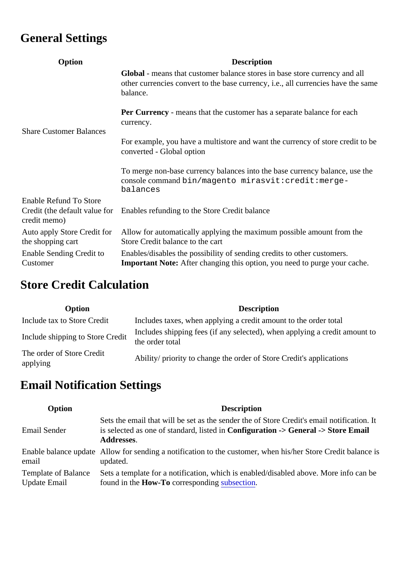## General Settings

| Option                         | <b>Description</b>                                                                                                                                                            |
|--------------------------------|-------------------------------------------------------------------------------------------------------------------------------------------------------------------------------|
| <b>Share Customer Balances</b> | Global - means that customer balance stores in base store currency and all<br>other currencies convert to the base currency, i.e., all currencies have the same<br>balance.   |
|                                | Per Currency - means that the customer has a separate balance for each<br>currency.                                                                                           |
|                                | For example, you have a multistore and want the currency of store credit to be<br>converted - Global option                                                                   |
|                                | To merge non-base currency balances into the base currency balance, use the<br>console commandin/magento mirasvit:credit:merge-<br>balances                                   |
| <b>Enable Refund To Store</b>  |                                                                                                                                                                               |
| credit memo)                   | Credit (the default value for Enables refunding to the Store Credit balance                                                                                                   |
| the shopping cart              | Auto apply Store Credit for Allow for automatically applying the maximum possible amount from the<br>Store Credit balance to the cart                                         |
| Customer                       | Enable Sending Credit to Enables/disables the possibility of sending credits to other customers.<br>Important Note: After changing this option, you need to purge your cache. |

### Store Credit Calculation

| Option                                | <b>Description</b>                                                                                                              |
|---------------------------------------|---------------------------------------------------------------------------------------------------------------------------------|
| Include tax to Store Credit           | Includes taxes, when applying a credit amount to the order total                                                                |
|                                       | Includes shipping fees (if any selected), when applying a credit amount to Include shipping to Store Credit and the order total |
| The order of Store Credit<br>applying | Ability/ priority to change the order of Store Credit's applications                                                            |

## Email Notification Settings

| Option              | <b>Description</b>                                                                                                                                                                        |
|---------------------|-------------------------------------------------------------------------------------------------------------------------------------------------------------------------------------------|
| <b>Email Sender</b> | Sets the email that will be set as the sender the of Store Credit's email notification. It<br>is selected as one of standard, listed comfiguration -> General -> Store Email<br>Addresses |
| email               | Enable balance updatallow for sending a notification to the customer, when his/her Store Credit balance is<br>updated.                                                                    |
| <b>Update Email</b> | Template of Balance Sets a template for a notification, which is enabled/disabled above. More info can be<br>found in the How-To corresponding ubsection                                  |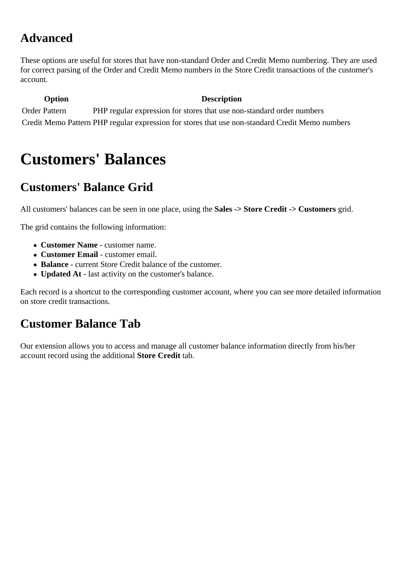### <span id="page-3-0"></span>**Advanced**

These options are useful for stores that have non-standard Order and Credit Memo numbering. They are used for correct parsing of the Order and Credit Memo numbers in the Store Credit transactions of the customer's account.

#### **Option Description**

Order Pattern PHP regular expression for stores that use non-standard order numbers Credit Memo Pattern PHP regular expression for stores that use non-standard Credit Memo numbers

## **Customers' Balances**

### **Customers' Balance Grid**

All customers' balances can be seen in one place, using the **Sales -> Store Credit -> Customers** grid.

The grid contains the following information:

- **Customer Name** customer name.
- **Customer Email** customer email.
- **Balance** current Store Credit balance of the customer.
- **Updated At** last activity on the customer's balance.

Each record is a shortcut to the corresponding customer account, where you can see more detailed information on store credit transactions.

### **Customer Balance Tab**

Our extension allows you to access and manage all customer balance information directly from his/her account record using the additional **Store Credit** tab.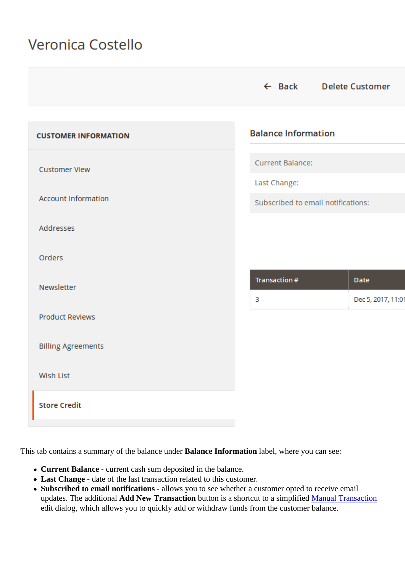This tab contains a summary of the balance uBdence Information label, where you can see:

- Current Balance current cash sum deposited in the balance.
- Last Change- date of the last transaction related to this customer.
- Subscribed to email notifications allows you to see whether a customer opted to receive email updates. The additionaldd New Transaction button is a shortcut to a simplified anual Transaction edit dialog, which allows you to quickly add or withdraw funds from the customer balance.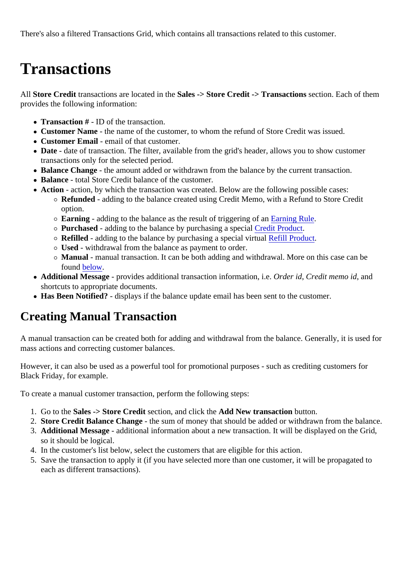<span id="page-5-0"></span>There's also a filtered Transactions Grid, which contains all transactions related to this customer.

## **Transactions**

All Store Credit transactions are located in the Sales -> Store Credit -> Transactions section. Each of them provides the following information:

- Transaction # ID of the transaction.
- Customer Name- the name of the customer, to whom the refund of Store Credit was issued.
- Customer Email email of that customer.
- Date date of transaction. The filter, available from the grid's header, allows you to show customer transactions only for the selected period.
- Balance Change the amount added or withdrawn from the balance by the current transaction.
- Balance total Store Credit balance of the customer.
- Action action, by which the transaction was created. Below are the following possible cases:
	- Refunded adding to the balance created using Credit Memo, with a Refund to Store Credit option.
		- $\circ$  Earning adding to the balance as the result of triggering  $\alpha$  and Equipmental Rule.
		- $\circ$  Purchased- adding to the balance by purchasing a special it Product
		- $\circ$  Refilled adding to the balance by purchasing a special virtual Product.
		- $\circ$  Used- withdrawal from the balance as payment to order.
		- o Manual manual transaction. It can be both adding and withdrawal. More on this case can be found below.
- Additional Message- provides additional transaction information, Cueder id, Credit memo idand shortcuts to appropriate documents.
- Has Been Notified? displays if the balance update email has been sent to the customer.

### Creating Manual Transaction

A manual transaction can be created both for adding and withdrawal from the balance. Generally, it is used mass actions and correcting customer balances.

However, it can also be used as a powerful tool for promotional purposes - such as crediting customers for Black Friday, for example.

To create a manual customer transaction, perform the following steps:

- 1. Go to the Sales -> Store Credit section, and click the Add New transaction button.
- 2. Store Credit Balance Change the sum of money that should be added or withdrawn from the balance
- 3. Additional Message additional information about a new transaction. It will be displayed on the Grid, so it should be logical.
- 4. In the customer's list below, select the customers that are eligible for this action.
- 5. Save the transaction to apply it (if you have selected more than one customer, it will be propagated to each as different transactions).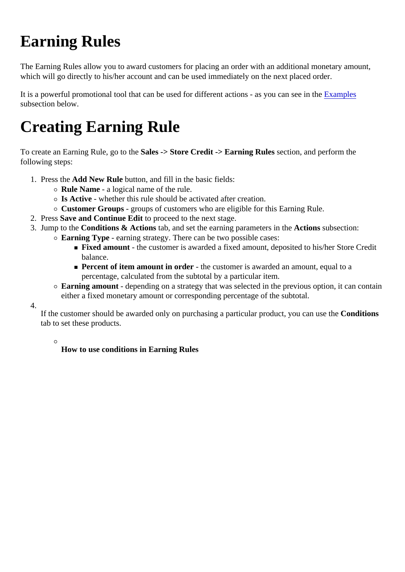# Earning Rules

The Earning Rules allow you to award customers for placing an order with an additional monetary amount, which will go directly to his/her account and can be used immediately on the next placed order.

It is a powerful promotional tool that can be used for different actions - as you can selexanthes subsection below.

## Creating Earning Rule

To create an Earning Rule, go to Brates -> Store Credit -> Earning Rules section, and perform the following steps:

- 1. Press the Add New Rule button, and fill in the basic fields:
	- $\circ$  Rule Name- a logical name of the rule.
	- $\circ$  Is Active whether this rule should be activated after creation.
	- o Customer Groups- groups of customers who are eligible for this Earning Rule.
- 2. PressSave and Continue Editto proceed to the next stage.
- 3. Jump to the Conditions & Actions tab, and set the earning parameters in Autiens subsection:
	- $\circ$  Earning Type earning strategy. There can be two possible cases:
		- Fixed amount the customer is awarded a fixed amount, deposited to his/her Store Credit balance.
		- **Percent of item amount in order- the customer is awarded an amount, equal to a** percentage, calculated from the subtotal by a particular item.
	- o Earning amount depending on a strategy that was selected in the previous option, it can conta either a fixed monetary amount or corresponding percentage of the subtotal.

#### 4.

If the customer should be awarded only on purchasing a particular product, you can Consect then s tab to set these products.

How to use conditions in Earning Rules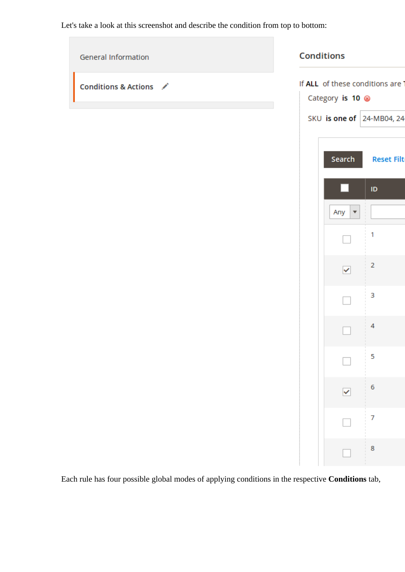Let's take a look at this screenshot and describe the condition from top to bottom:



Each rule has four possible global modes of applying conditions in the respective **Conditions** tab,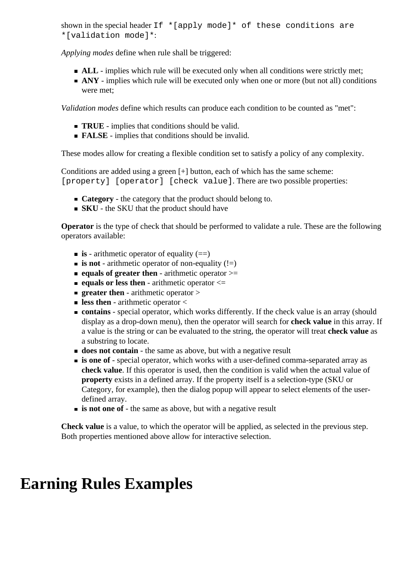shown in the special header If \*[apply mode]\* of these conditions are \*[validation mode]\*:

*Applying modes* define when rule shall be triggered:

- **ALL** implies which rule will be executed only when all conditions were strictly met;
- **ANY** implies which rule will be executed only when one or more (but not all) conditions were met;

*Validation modes* define which results can produce each condition to be counted as "met":

- **TRUE** implies that conditions should be valid.
- **FALSE** implies that conditions should be invalid.

These modes allow for creating a flexible condition set to satisfy a policy of any complexity.

Conditions are added using a green [+] button, each of which has the same scheme: [property] [operator] [check value]. There are two possible properties:

- **Category** the category that the product should belong to.
- **SKU** the SKU that the product should have

**Operator** is the type of check that should be performed to validate a rule. These are the following operators available:

- **is** arithmetic operator of equality  $(==)$
- **is not** arithmetic operator of non-equality  $(!=)$
- **equals of greater then** arithmetic operator  $>=$
- **equals or less then** arithmetic operator  $\leq$
- **greater then** arithmetic operator >
- **less then** arithmetic operator  $\lt$
- **contains** special operator, which works differently. If the check value is an array (should display as a drop-down menu), then the operator will search for **check value** in this array. If a value is the string or can be evaluated to the string, the operator will treat **check value** as a substring to locate.
- **does not contain** the same as above, but with a negative result
- **is one of** special operator, which works with a user-defined comma-separated array as **check value**. If this operator is used, then the condition is valid when the actual value of **property** exists in a defined array. If the property itself is a selection-type (SKU or Category, for example), then the dialog popup will appear to select elements of the userdefined array.
- **is not one of** the same as above, but with a negative result

**Check value** is a value, to which the operator will be applied, as selected in the previous step. Both properties mentioned above allow for interactive selection.

## **Earning Rules Examples**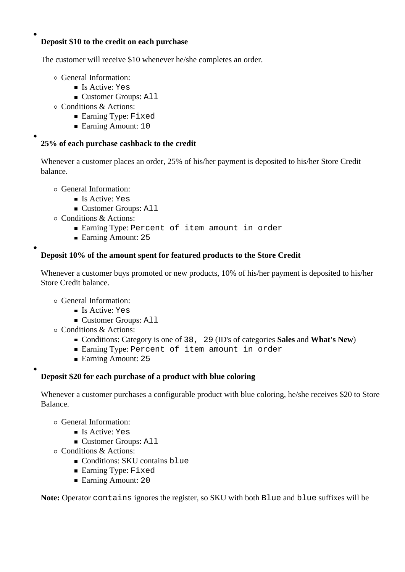#### **Deposit \$10 to the credit on each purchase**

The customer will receive \$10 whenever he/she completes an order.

- General Information:
	- Is Active: Yes
	- **Customer Groups: All**
- Conditions & Actions:
	- **Earning Type: Fixed**
	- **Earning Amount: 10**

#### **25% of each purchase cashback to the credit**

Whenever a customer places an order, 25% of his/her payment is deposited to his/her Store Credit balance.

- General Information:
	- $\blacksquare$  Is Active: Yes
	- Customer Groups: A<sub>11</sub>
- Conditions & Actions:
	- Earning Type: Percent of item amount in order
	- **Earning Amount: 25**

#### **Deposit 10% of the amount spent for featured products to the Store Credit**

Whenever a customer buys promoted or new products, 10% of his/her payment is deposited to his/her Store Credit balance.

- General Information:
	- **I**s Active: Yes
	- **Customer Groups: A11**
- Conditions & Actions:
	- Conditions: Category is one of 38, 29 (ID's of categories **Sales** and **What's New**)
	- Earning Type: Percent of item amount in order
	- Earning Amount: 25

#### **Deposit \$20 for each purchase of a product with blue coloring**

Whenever a customer purchases a configurable product with blue coloring, he/she receives \$20 to Store Balance.

- General Information:
	- **I**s Active: Yes
	- Customer Groups: A11
- Conditions & Actions:
	- Conditions: SKU contains blue
	- **Earning Type: Fixed**
	- **Earning Amount: 20**

**Note:** Operator contains ignores the register, so SKU with both Blue and blue suffixes will be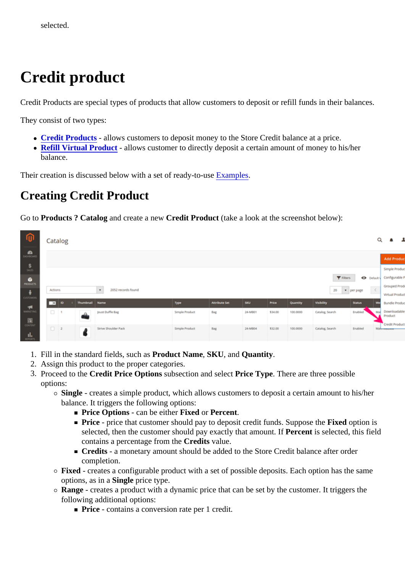## <span id="page-10-0"></span>Credit product

Credit Products are special types of products that allow customers to deposit or refill funds in their balance

They consist of two types:

- Credit Products allows customers to deposit money to the Store Credit balance at a price.
- Refill Virtual Product allows customer to directly deposit a certain amount of money to his/her balance.

Their creation is discussed below with a set of ready-to Examples

### Creating Credit Product

Go to Products ? Catalogand create a ne@redit Product (take a look at the screenshot below):

- 1. Fill in the standard fields, such **Bsoduct Name, SKU, and Quantity.**
- 2. Assign this product to the proper categories.
- 3. Proceed to the Credit Price Options subsection and selectice Type. There are three possible options:
	- $\circ$  Single creates a simple product, which allows customers to deposit a certain amount to his/her balance. It triggers the following options:
		- Price Options can be either Fixed or Percent
		- Price price that customer should pay to deposit credit funds. Suppose the Figure is selected, then the customer should pay exactly that amo metal dent is selected, this field contains a percentage from to redits value.
		- Credits a monetary amount should be added to the Store Credit balance after order completion.
	- $\circ$  Fixed creates a configurable product with a set of possible deposits. Each option has the same options, as in Single price type.
	- $\circ$  Range- creates a product with a dynamic price that can be set by the customer. It triggers the following additional options:
		- Price contains a conversion rate per 1 credit.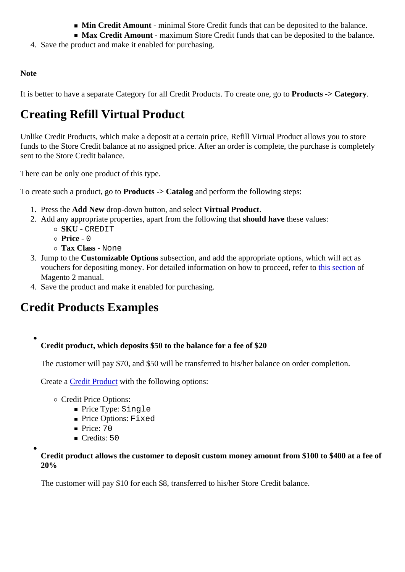- Min Credit Amount minimal Store Credit funds that can be deposited to the balance.
- Max Credit Amount maximum Store Credit funds that can be deposited to the balance.
- 4. Save the product and make it enabled for purchasing.

**Note** 

It is better to have a separate Category for all Credit Products. To create on Products -> Category

### Creating Refill Virtual Product

Unlike Credit Products, which make a deposit at a certain price, Refill Virtual Product allows you to store funds to the Store Credit balance at no assigned price. After an order is complete, the purchase is complet sent to the Store Credit balance.

There can be only one product of this type.

To create such a product, go Ropucts -> Catalog and perform the following steps:

- 1. Press the Add New drop-down button, and select tual Product.
- 2. Add any appropriate properties, apart from the following shatuld have these values:
	- o SKU CREDIT
	- $\circ$  Price 0
	- o Tax Class-None
- 3. Jump to the Customizable Options subsection, and add the appropriate options, which will act as vouchers for depositing money. For detailed information on how to proceed, refer section of Magento 2 manual.
- 4. Save the product and make it enabled for purchasing.

### Credit Products Examples

Credit product, which deposits \$50 to the balance for a fee of \$20

The customer will pay \$70, and \$50 will be transferred to his/her balance on order completion.

Create a Credit Product with the following options:

- Credit Price Options:
	- Price Type Single
	- **Price OptionsFixed**
	- Price: 70
	- $\blacksquare$  Credits: 50

Credit product allows the customer to deposit custom money amount from \$100 to \$400 at a fee of 20%

The customer will pay \$10 for each \$8, transferred to his/her Store Credit balance.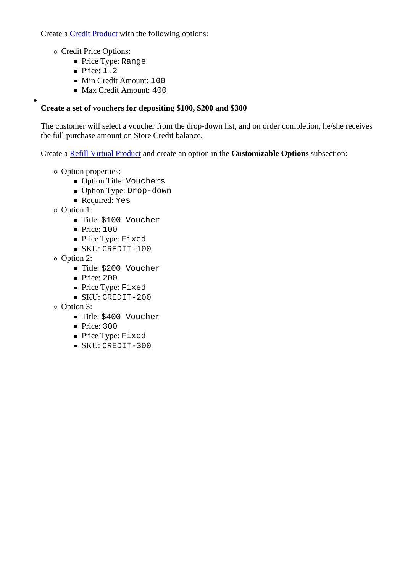Create a Credit Product with the following options:

- Credit Price Options:
	- Price TypeRange
	- $\blacksquare$  Price: 1.2
	- Min Credit Amount: 100
	- $Max$  Credit Amount: 400

Create a set of vouchers for depositing \$100, \$200 and \$300

The customer will select a voucher from the drop-down list, and on order completion, he/she receives the full purchase amount on Store Credit balance.

Create a Refill Virtual Productand create an option in the stomizable Options subsection:

- Option properties:
	- **Department Deption Title: Vouchers**
	- Option Type:Drop-down
	- Required: Yes
- Option 1:
	- Title: \$100 Voucher
	- Price: 100
	- Price Type Fixed
	- **SKU: CREDIT-100**
- Option 2:
	- Title: \$200 Voucher
	- Price: 200
	- Price Type Fixed
	- SKU: CREDIT-200
- Option 3:
	- Title: \$400 Voucher
	- Price: 300
	- Price Type Fixed
	- SKU: CREDIT-300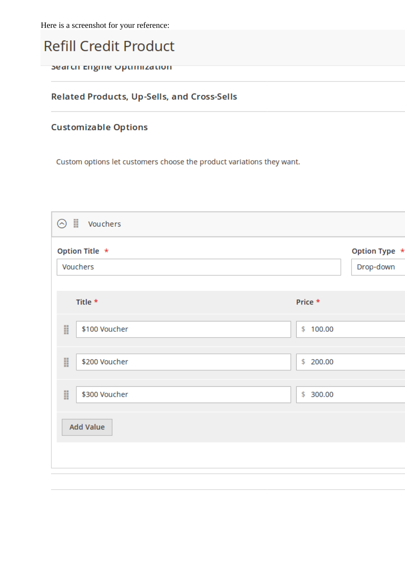<span id="page-13-0"></span>Here is a screenshot for your reference:

## **Refill Credit Product**

Search Engine Optimization

#### **Related Products, Up-Sells, and Cross-Sells**

#### **Customizable Options**

Custom options let customers choose the product variations they want.

| $\odot$ $\blacksquare$ Vouchers |                            |  |
|---------------------------------|----------------------------|--|
| Option Title *<br>Vouchers      | Option Type *<br>Drop-down |  |
| Title *                         | Price *                    |  |
| H<br>\$100 Voucher              | \$100.00                   |  |
| H<br>\$200 Voucher              | \$200.00                   |  |
| H<br>\$300 Voucher              | \$300.00                   |  |
| <b>Add Value</b>                |                            |  |
|                                 |                            |  |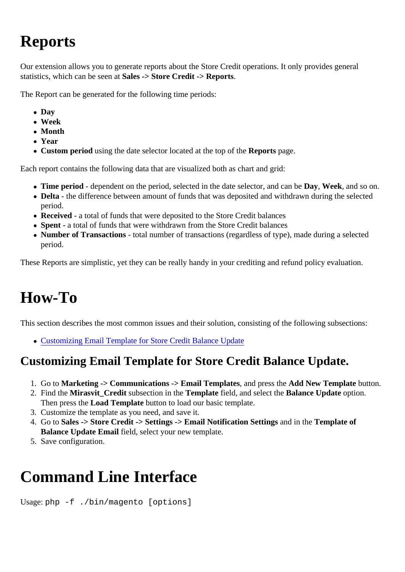## **Reports**

Our extension allows you to generate reports about the Store Credit operations. It only provides general statistics, which can be seen Satles -> Store Credit -> Reports

The Report can be generated for the following time periods:

- Day
- Week
- Month
- Year
- Custom period using the date selector located at the top or the ports page.

Each report contains the following data that are visualized both as chart and grid:

- Time period dependent on the period, selected in the date selector, and Dan, be beek, and so on.
- Delta the difference between amount of funds that was deposited and withdrawn during the selected period.
- Received- a total of funds that were deposited to the Store Credit balances
- Spent a total of funds that were withdrawn from the Store Credit balances
- Number of Transactions- total number of transactions (regardless of type), made during a selected period.

These Reports are simplistic, yet they can be really handy in your crediting and refund policy evaluation.

## How-To

This section describes the most common issues and their solution, consisting of the following subsections:

Customizing Email Template for Store Credit Balance Update

## Customizing Email Template for Store Credit Balance Update.

- 1. Go to Marketing -> Communications -> Email Templates and press the Add New Template button.
- 2. Find the Mirasvit\_Credit subsection in the Eemplate field, and select the Balance Update option. Then press theoad Template button to load our basic template.
- 3. Customize the template as you need, and save it.
- 4. Go to Sales -> Store Credit -> Settings -> Email Notification Setting and in the Template of Balance Update Emailfield, select your new template.
- 5. Save configuration.

## Command Line Interface

Usagephp -f ./bin/magento [options]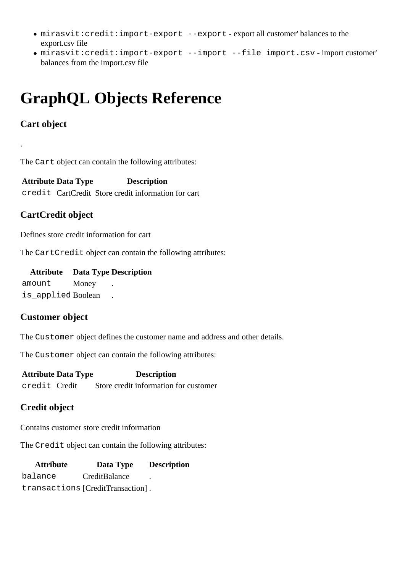- mirasvit:credit:import-export --export export all customer' balances to the export.csv file
- mirasvit:credit:import-export --import --file import.csv import customer' balances from the import.csv file

## **GraphQL Objects Reference**

#### **Cart object**

.

The Cart object can contain the following attributes:

**Attribute Data Type Description** credit CartCredit Store credit information for cart

#### **CartCredit object**

Defines store credit information for cart

The CartCredit object can contain the following attributes:

#### **Attribute Data Type Description**

amount Money . is\_applied Boolean .

#### **Customer object**

The Customer object defines the customer name and address and other details.

The Customer object can contain the following attributes:

**Attribute Data Type Description** credit Credit Store credit information for customer

#### **Credit object**

Contains customer store credit information

The Credit object can contain the following attributes:

**Attribute Data Type Description** balance CreditBalance . transactions [CreditTransaction] .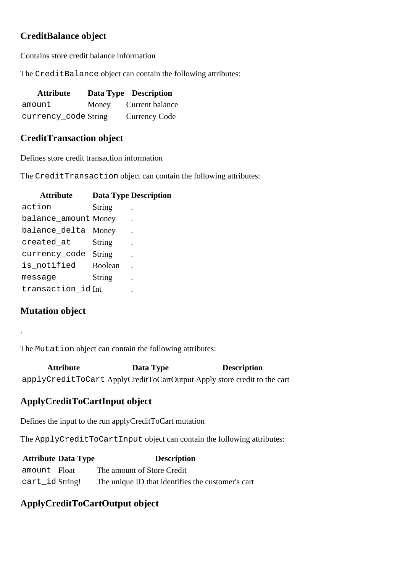#### **CreditBalance object**

Contains store credit balance information

The CreditBalance object can contain the following attributes:

| <b>Attribute</b>     |       | Data Type Description |
|----------------------|-------|-----------------------|
| amount               | Money | Current balance       |
| currency_code String |       | <b>Currency Code</b>  |

#### **CreditTransaction object**

Defines store credit transaction information

The CreditTransaction object can contain the following attributes:

| <b>Attribute</b> | <b>Data Type Description</b> |
|------------------|------------------------------|
|                  |                              |

| action               | String         |   |
|----------------------|----------------|---|
| balance_amount Money |                |   |
| balance_delta        | Money          |   |
| created at           | String         |   |
| currency_code        | String         |   |
| is_notified          | <b>Boolean</b> |   |
| message              | String         | ٠ |
| transaction id Int   |                |   |

#### **Mutation object**

.

The Mutation object can contain the following attributes:

**Attribute Data Type Description** applyCreditToCart ApplyCreditToCartOutput Apply store credit to the cart

#### **ApplyCreditToCartInput object**

Defines the input to the run applyCreditToCart mutation

The ApplyCreditToCartInput object can contain the following attributes:

**Attribute Data Type Description** amount Float The amount of Store Credit cart\_id String! The unique ID that identifies the customer's cart

### **ApplyCreditToCartOutput object**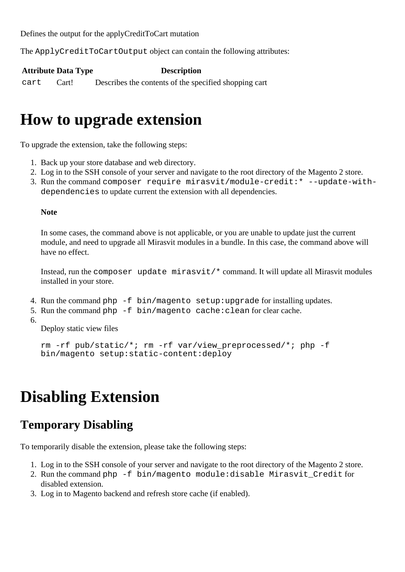Defines the output for the applyCreditToCart mutation

The ApplyCreditToCartOutput object can contain the following attributes:

#### **Attribute Data Type Description**

cart Cart! Describes the contents of the specified shopping cart

## **How to upgrade extension**

To upgrade the extension, take the following steps:

- 1. Back up your store database and web directory.
- 2. Log in to the SSH console of your server and navigate to the root directory of the Magento 2 store.
- 3. Run the command composer require mirasvit/module-credit:\* --update-withdependencies to update current the extension with all dependencies.

#### **Note**

In some cases, the command above is not applicable, or you are unable to update just the current module, and need to upgrade all Mirasvit modules in a bundle. In this case, the command above will have no effect.

Instead, run the composer update mirasvit/\* command. It will update all Mirasvit modules installed in your store.

- 4. Run the command php -f bin/magento setup:upgrade for installing updates.
- 5. Run the command php -f bin/magento cache:clean for clear cache.
- 6.

Deploy static view files

```
rm -rf pub/static/*; rm -rf var/view_preprocessed/*; php -f 
bin/magento setup:static-content:deploy
```
## **Disabling Extension**

### **Temporary Disabling**

To temporarily disable the extension, please take the following steps:

- 1. Log in to the SSH console of your server and navigate to the root directory of the Magento 2 store.
- 2. Run the command php -f bin/magento module:disable Mirasvit\_Credit for disabled extension.
- 3. Log in to Magento backend and refresh store cache (if enabled).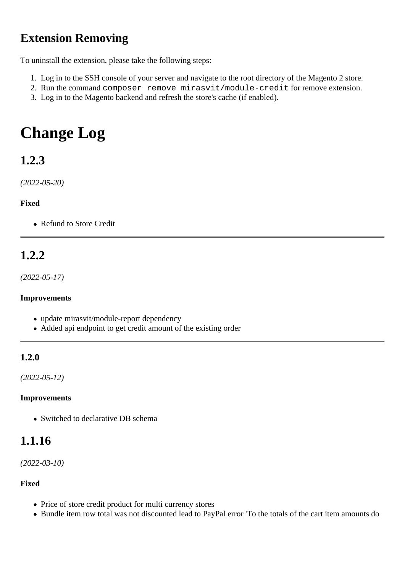### **Extension Removing**

To uninstall the extension, please take the following steps:

- 1. Log in to the SSH console of your server and navigate to the root directory of the Magento 2 store.
- 2. Run the command composer remove mirasvit/module-credit for remove extension.
- 3. Log in to the Magento backend and refresh the store's cache (if enabled).

## **Change Log**

### **1.2.3**

*(2022-05-20)*

#### **Fixed**

• Refund to Store Credit

### **1.2.2**

*(2022-05-17)*

#### **Improvements**

- update mirasvit/module-report dependency
- Added api endpoint to get credit amount of the existing order

#### **1.2.0**

*(2022-05-12)*

#### **Improvements**

• Switched to declarative DB schema

### **1.1.16**

*(2022-03-10)*

#### **Fixed**

- Price of store credit product for multi currency stores
- Bundle item row total was not discounted lead to PayPal error 'To the totals of the cart item amounts do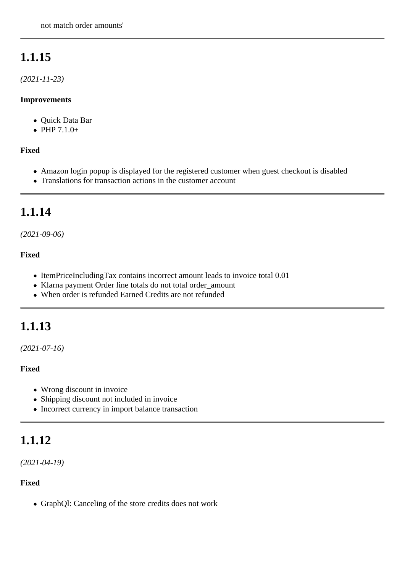### **1.1.15**

*(2021-11-23)*

#### **Improvements**

- Quick Data Bar
- PHP  $7.1.0+$

#### **Fixed**

- Amazon login popup is displayed for the registered customer when guest checkout is disabled
- Translations for transaction actions in the customer account

### **1.1.14**

*(2021-09-06)*

#### **Fixed**

- ItemPriceIncludingTax contains incorrect amount leads to invoice total 0.01
- Klarna payment Order line totals do not total order\_amount
- When order is refunded Earned Credits are not refunded

### **1.1.13**

*(2021-07-16)*

#### **Fixed**

- Wrong discount in invoice
- Shipping discount not included in invoice
- Incorrect currency in import balance transaction

### **1.1.12**

*(2021-04-19)*

#### **Fixed**

GraphQl: Canceling of the store credits does not work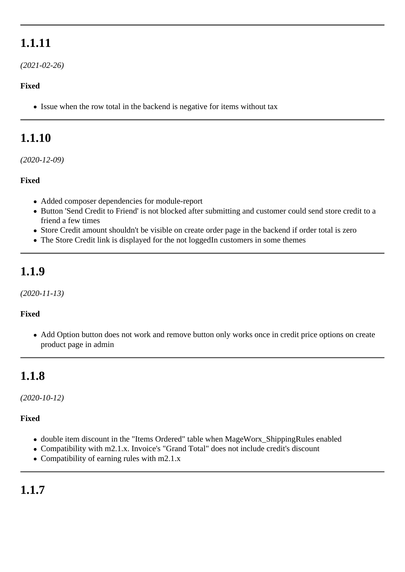### **1.1.11**

*(2021-02-26)*

#### **Fixed**

• Issue when the row total in the backend is negative for items without tax

### **1.1.10**

*(2020-12-09)*

**Fixed**

- Added composer dependencies for module-report
- Button 'Send Credit to Friend' is not blocked after submitting and customer could send store credit to a friend a few times
- Store Credit amount shouldn't be visible on create order page in the backend if order total is zero
- The Store Credit link is displayed for the not loggedIn customers in some themes

### **1.1.9**

*(2020-11-13)*

#### **Fixed**

Add Option button does not work and remove button only works once in credit price options on create product page in admin

### **1.1.8**

*(2020-10-12)*

#### **Fixed**

- double item discount in the "Items Ordered" table when MageWorx\_ShippingRules enabled
- Compatibility with m2.1.x. Invoice's "Grand Total" does not include credit's discount
- Compatibility of earning rules with m2.1.x

### **1.1.7**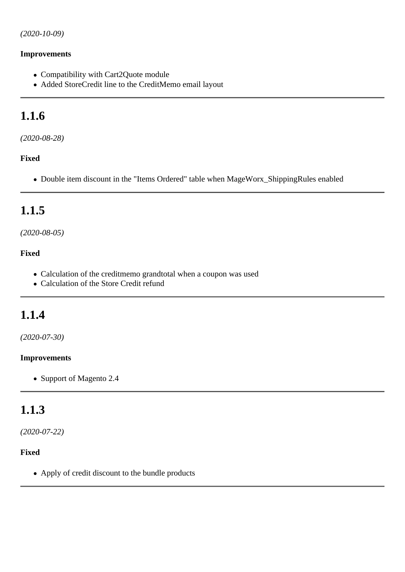#### **Improvements**

- Compatibility with Cart2Quote module
- Added StoreCredit line to the CreditMemo email layout

### **1.1.6**

*(2020-08-28)*

#### **Fixed**

Double item discount in the "Items Ordered" table when MageWorx\_ShippingRules enabled

### **1.1.5**

*(2020-08-05)*

#### **Fixed**

- Calculation of the creditmemo grandtotal when a coupon was used
- Calculation of the Store Credit refund

### **1.1.4**

*(2020-07-30)*

#### **Improvements**

• Support of Magento 2.4

### **1.1.3**

*(2020-07-22)*

#### **Fixed**

Apply of credit discount to the bundle products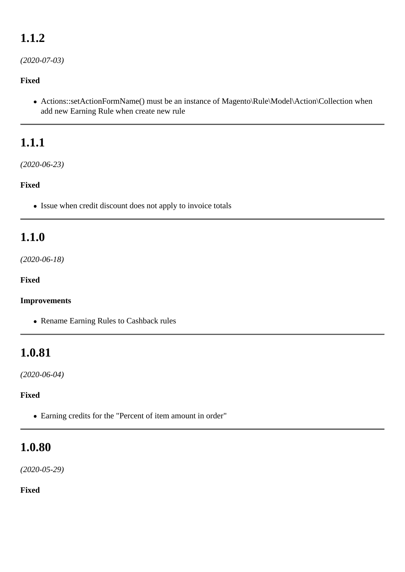### **1.1.2**

#### *(2020-07-03)*

#### **Fixed**

• Actions::setActionFormName() must be an instance of Magento\Rule\Model\Action\Collection when add new Earning Rule when create new rule

### **1.1.1**

*(2020-06-23)*

#### **Fixed**

• Issue when credit discount does not apply to invoice totals

### **1.1.0**

*(2020-06-18)*

#### **Fixed**

#### **Improvements**

Rename Earning Rules to Cashback rules

### **1.0.81**

*(2020-06-04)*

#### **Fixed**

Earning credits for the "Percent of item amount in order"

### **1.0.80**

*(2020-05-29)*

**Fixed**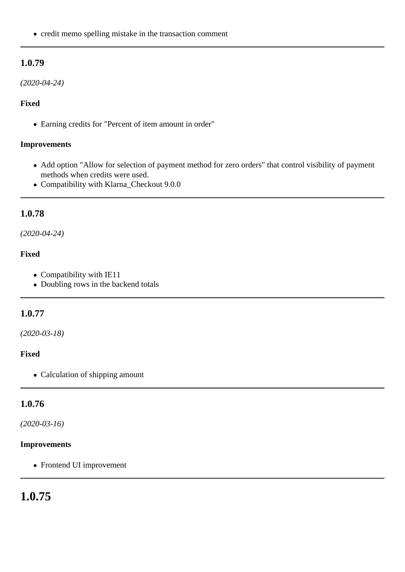• credit memo spelling mistake in the transaction comment

#### **1.0.79**

*(2020-04-24)*

#### **Fixed**

Earning credits for "Percent of item amount in order"

#### **Improvements**

- Add option "Allow for selection of payment method for zero orders" that control visibility of payment methods when credits were used.
- Compatibility with Klarna\_Checkout 9.0.0

#### **1.0.78**

*(2020-04-24)*

#### **Fixed**

- Compatibility with IE11
- Doubling rows in the backend totals

#### **1.0.77**

*(2020-03-18)*

#### **Fixed**

• Calculation of shipping amount

#### **1.0.76**

*(2020-03-16)*

#### **Improvements**

Frontend UI improvement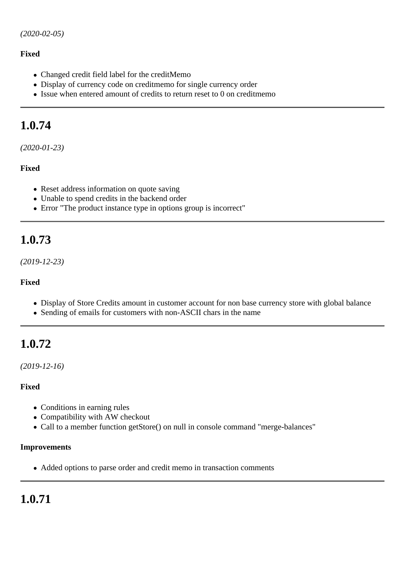- Changed credit field label for the creditMemo
- Display of currency code on creditmemo for single currency order
- Issue when entered amount of credits to return reset to 0 on creditmemo

### **1.0.74**

*(2020-01-23)*

#### **Fixed**

- Reset address information on quote saving
- Unable to spend credits in the backend order
- Error "The product instance type in options group is incorrect"

### **1.0.73**

#### *(2019-12-23)*

#### **Fixed**

- Display of Store Credits amount in customer account for non base currency store with global balance
- Sending of emails for customers with non-ASCII chars in the name

### **1.0.72**

*(2019-12-16)*

#### **Fixed**

- Conditions in earning rules
- Compatibility with AW checkout
- Call to a member function getStore() on null in console command "merge-balances"

#### **Improvements**

Added options to parse order and credit memo in transaction comments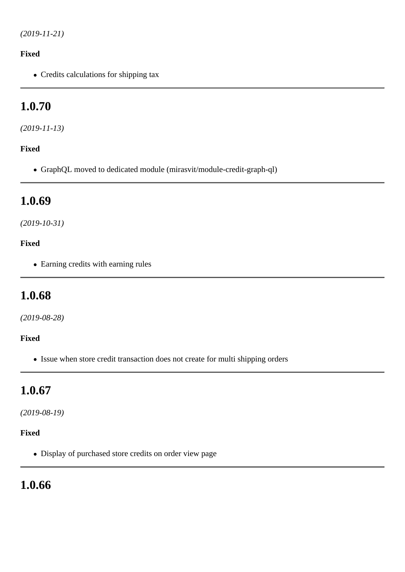Credits calculations for shipping tax

### **1.0.70**

*(2019-11-13)*

#### **Fixed**

GraphQL moved to dedicated module (mirasvit/module-credit-graph-ql)

### **1.0.69**

*(2019-10-31)*

#### **Fixed**

Earning credits with earning rules

### **1.0.68**

*(2019-08-28)*

#### **Fixed**

• Issue when store credit transaction does not create for multi shipping orders

### **1.0.67**

*(2019-08-19)*

#### **Fixed**

Display of purchased store credits on order view page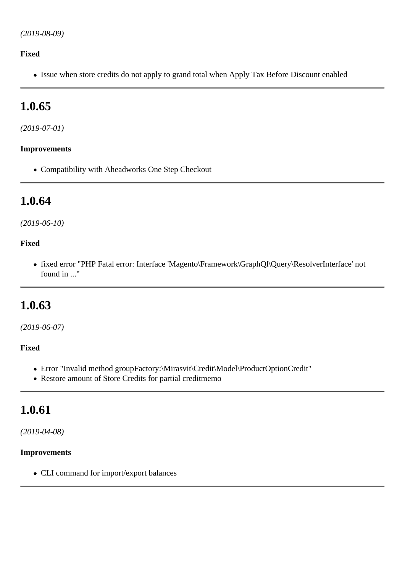Issue when store credits do not apply to grand total when Apply Tax Before Discount enabled

### **1.0.65**

*(2019-07-01)*

#### **Improvements**

Compatibility with Aheadworks One Step Checkout

### **1.0.64**

*(2019-06-10)*

#### **Fixed**

fixed error "PHP Fatal error: Interface 'Magento\Framework\GraphQl\Query\ResolverInterface' not found in ..."

### **1.0.63**

*(2019-06-07)*

#### **Fixed**

- Error "Invalid method groupFactory:\Mirasvit\Credit\Model\ProductOptionCredit"
- Restore amount of Store Credits for partial creditmemo

### **1.0.61**

*(2019-04-08)*

#### **Improvements**

CLI command for import/export balances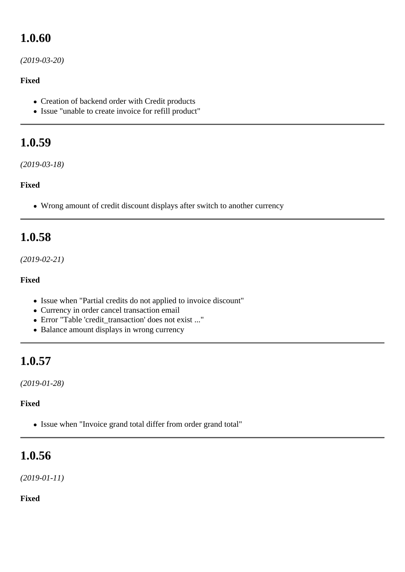### **1.0.60**

#### *(2019-03-20)*

#### **Fixed**

- Creation of backend order with Credit products
- Issue "unable to create invoice for refill product"

### **1.0.59**

*(2019-03-18)*

#### **Fixed**

Wrong amount of credit discount displays after switch to another currency

### **1.0.58**

*(2019-02-21)*

#### **Fixed**

- Issue when "Partial credits do not applied to invoice discount"
- Currency in order cancel transaction email
- Error "Table 'credit\_transaction' does not exist ..."
- Balance amount displays in wrong currency

### **1.0.57**

*(2019-01-28)*

#### **Fixed**

• Issue when "Invoice grand total differ from order grand total"

### **1.0.56**

*(2019-01-11)*

**Fixed**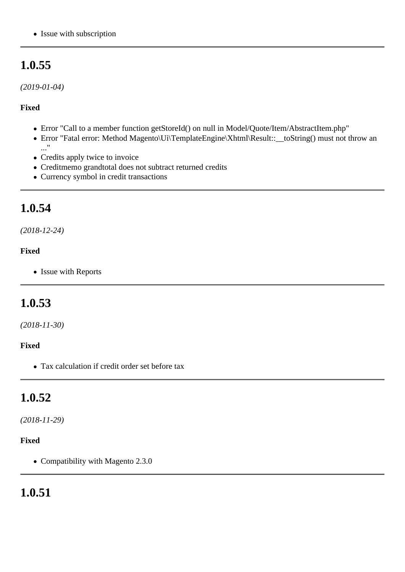• Issue with subscription

### **1.0.55**

#### *(2019-01-04)*

#### **Fixed**

- Error "Call to a member function getStoreId() on null in Model/Quote/Item/AbstractItem.php"
- Error "Fatal error: Method Magento\Ui\TemplateEngine\Xhtml\Result::\_\_toString() must not throw an ..."
- Credits apply twice to invoice
- Creditmemo grandtotal does not subtract returned credits
- Currency symbol in credit transactions

### **1.0.54**

#### *(2018-12-24)*

#### **Fixed**

• Issue with Reports

### **1.0.53**

#### *(2018-11-30)*

#### **Fixed**

Tax calculation if credit order set before tax

### **1.0.52**

#### *(2018-11-29)*

#### **Fixed**

• Compatibility with Magento 2.3.0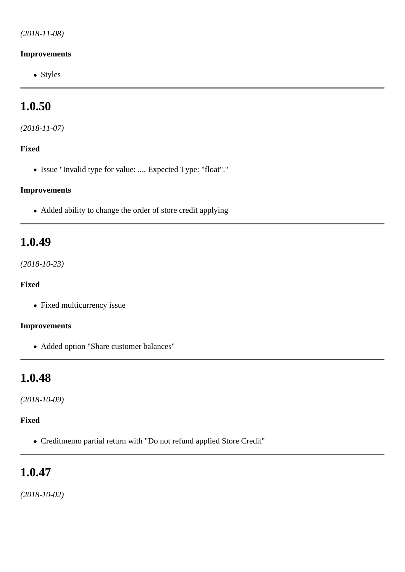#### **Improvements**

• Styles

### **1.0.50**

*(2018-11-07)*

#### **Fixed**

• Issue "Invalid type for value: .... Expected Type: "float"."

#### **Improvements**

Added ability to change the order of store credit applying

### **1.0.49**

*(2018-10-23)*

#### **Fixed**

• Fixed multicurrency issue

#### **Improvements**

Added option "Share customer balances"

### **1.0.48**

*(2018-10-09)*

#### **Fixed**

Creditmemo partial return with "Do not refund applied Store Credit"

### **1.0.47**

*(2018-10-02)*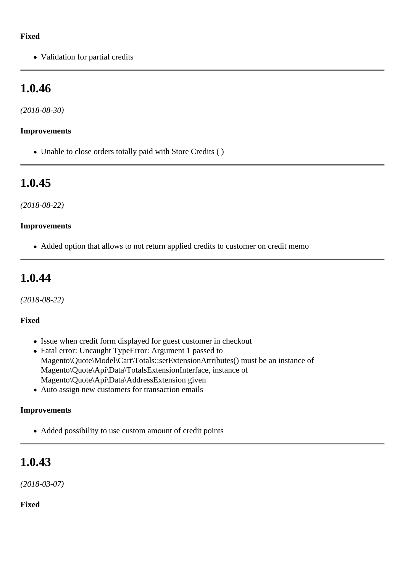Validation for partial credits

### **1.0.46**

*(2018-08-30)*

#### **Improvements**

Unable to close orders totally paid with Store Credits ( )

### **1.0.45**

#### *(2018-08-22)*

#### **Improvements**

Added option that allows to not return applied credits to customer on credit memo

### **1.0.44**

*(2018-08-22)*

#### **Fixed**

- Issue when credit form displayed for guest customer in checkout
- Fatal error: Uncaught TypeError: Argument 1 passed to Magento\Quote\Model\Cart\Totals::setExtensionAttributes() must be an instance of Magento\Quote\Api\Data\TotalsExtensionInterface, instance of Magento\Quote\Api\Data\AddressExtension given
- Auto assign new customers for transaction emails

#### **Improvements**

Added possibility to use custom amount of credit points

### **1.0.43**

*(2018-03-07)*

#### **Fixed**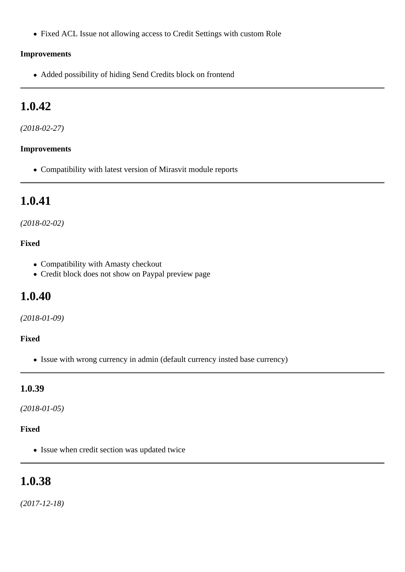Fixed ACL Issue not allowing access to Credit Settings with custom Role

#### **Improvements**

Added possibility of hiding Send Credits block on frontend

### **1.0.42**

*(2018-02-27)*

#### **Improvements**

Compatibility with latest version of Mirasvit module reports

### **1.0.41**

*(2018-02-02)*

#### **Fixed**

- Compatibility with Amasty checkout
- Credit block does not show on Paypal preview page

### **1.0.40**

*(2018-01-09)*

#### **Fixed**

Issue with wrong currency in admin (default currency insted base currency)

#### **1.0.39**

*(2018-01-05)*

#### **Fixed**

• Issue when credit section was updated twice

### **1.0.38**

*(2017-12-18)*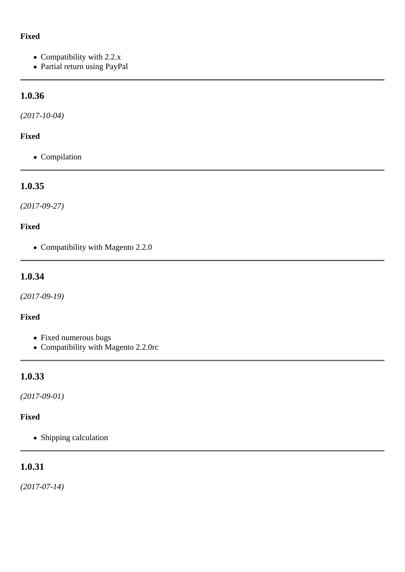- Compatibility with  $2.2.x$
- Partial return using PayPal

#### **1.0.36**

*(2017-10-04)*

#### **Fixed**

• Compilation

#### **1.0.35**

*(2017-09-27)*

#### **Fixed**

Compatibility with Magento 2.2.0

#### **1.0.34**

*(2017-09-19)*

#### **Fixed**

- Fixed numerous bugs
- Compatibility with Magento 2.2.0rc

#### **1.0.33**

*(2017-09-01)*

#### **Fixed**

• Shipping calculation

#### **1.0.31**

*(2017-07-14)*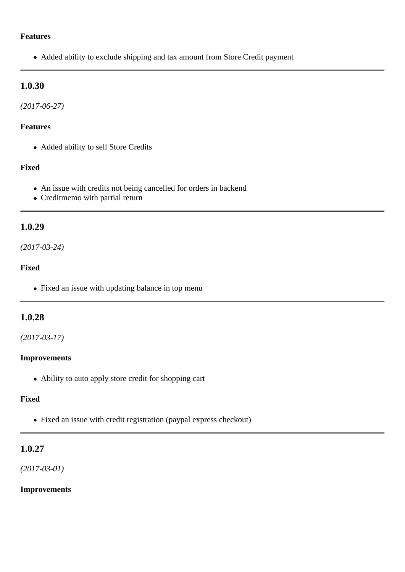#### **Features**

Added ability to exclude shipping and tax amount from Store Credit payment

#### **1.0.30**

*(2017-06-27)*

#### **Features**

Added ability to sell Store Credits

#### **Fixed**

- An issue with credits not being cancelled for orders in backend
- Creditmemo with partial return

#### **1.0.29**

*(2017-03-24)*

#### **Fixed**

Fixed an issue with updating balance in top menu

#### **1.0.28**

*(2017-03-17)*

#### **Improvements**

Ability to auto apply store credit for shopping cart

#### **Fixed**

Fixed an issue with credit registration (paypal express checkout)

#### **1.0.27**

*(2017-03-01)*

#### **Improvements**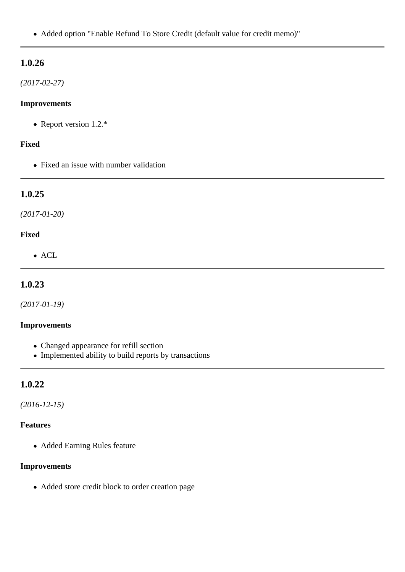Added option "Enable Refund To Store Credit (default value for credit memo)"

#### **1.0.26**

*(2017-02-27)*

#### **Improvements**

• Report version 1.2.\*

#### **Fixed**

Fixed an issue with number validation

#### **1.0.25**

#### *(2017-01-20)*

#### **Fixed**

ACL

#### **1.0.23**

*(2017-01-19)*

#### **Improvements**

- Changed appearance for refill section
- Implemented ability to build reports by transactions

#### **1.0.22**

#### *(2016-12-15)*

#### **Features**

Added Earning Rules feature

#### **Improvements**

Added store credit block to order creation page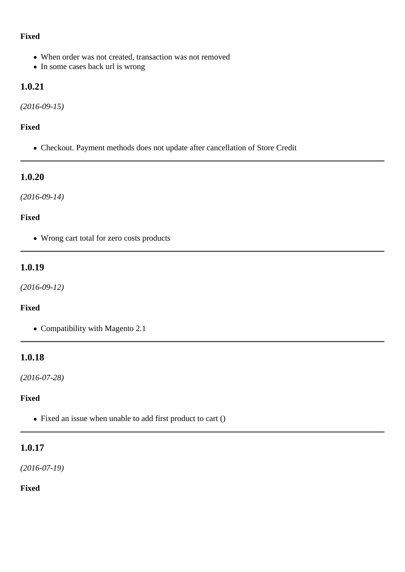- When order was not created, transaction was not removed
- In some cases back url is wrong

#### **1.0.21**

*(2016-09-15)*

#### **Fixed**

Checkout. Payment methods does not update after cancellation of Store Credit

#### **1.0.20**

*(2016-09-14)*

#### **Fixed**

Wrong cart total for zero costs products

#### **1.0.19**

*(2016-09-12)*

#### **Fixed**

• Compatibility with Magento 2.1

#### **1.0.18**

*(2016-07-28)*

#### **Fixed**

Fixed an issue when unable to add first product to cart ()

#### **1.0.17**

*(2016-07-19)*

#### **Fixed**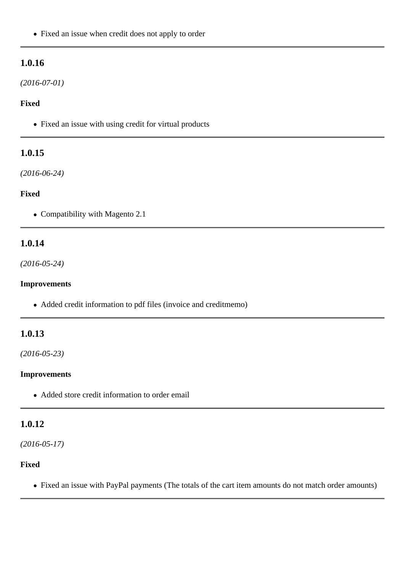Fixed an issue when credit does not apply to order

#### **1.0.16**

#### *(2016-07-01)*

#### **Fixed**

Fixed an issue with using credit for virtual products

#### **1.0.15**

*(2016-06-24)*

#### **Fixed**

• Compatibility with Magento 2.1

#### **1.0.14**

*(2016-05-24)*

#### **Improvements**

Added credit information to pdf files (invoice and creditmemo)

#### **1.0.13**

*(2016-05-23)*

#### **Improvements**

Added store credit information to order email

#### **1.0.12**

*(2016-05-17)*

#### **Fixed**

Fixed an issue with PayPal payments (The totals of the cart item amounts do not match order amounts)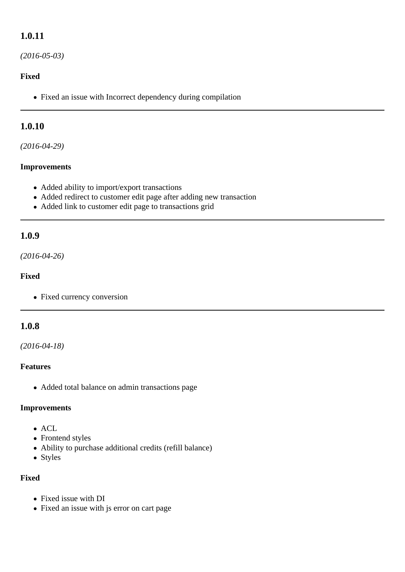#### **1.0.11**

*(2016-05-03)*

#### **Fixed**

Fixed an issue with Incorrect dependency during compilation

#### **1.0.10**

*(2016-04-29)*

#### **Improvements**

- Added ability to import/export transactions
- Added redirect to customer edit page after adding new transaction
- Added link to customer edit page to transactions grid

#### **1.0.9**

*(2016-04-26)*

#### **Fixed**

Fixed currency conversion

#### **1.0.8**

*(2016-04-18)*

#### **Features**

Added total balance on admin transactions page

#### **Improvements**

- $\bullet$  ACL
- Frontend styles
- Ability to purchase additional credits (refill balance)
- Styles

#### **Fixed**

- Fixed issue with DI
- Fixed an issue with js error on cart page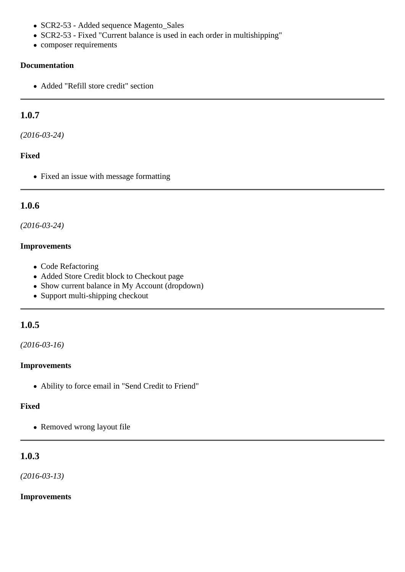- SCR2-53 Added sequence Magento\_Sales
- SCR2-53 Fixed "Current balance is used in each order in multishipping"
- composer requirements

#### **Documentation**

Added "Refill store credit" section

#### **1.0.7**

*(2016-03-24)*

#### **Fixed**

• Fixed an issue with message formatting

#### **1.0.6**

#### *(2016-03-24)*

#### **Improvements**

- Code Refactoring
- Added Store Credit block to Checkout page
- Show current balance in My Account (dropdown)
- Support multi-shipping checkout

#### **1.0.5**

*(2016-03-16)*

#### **Improvements**

Ability to force email in "Send Credit to Friend"

#### **Fixed**

• Removed wrong layout file

#### **1.0.3**

*(2016-03-13)*

#### **Improvements**